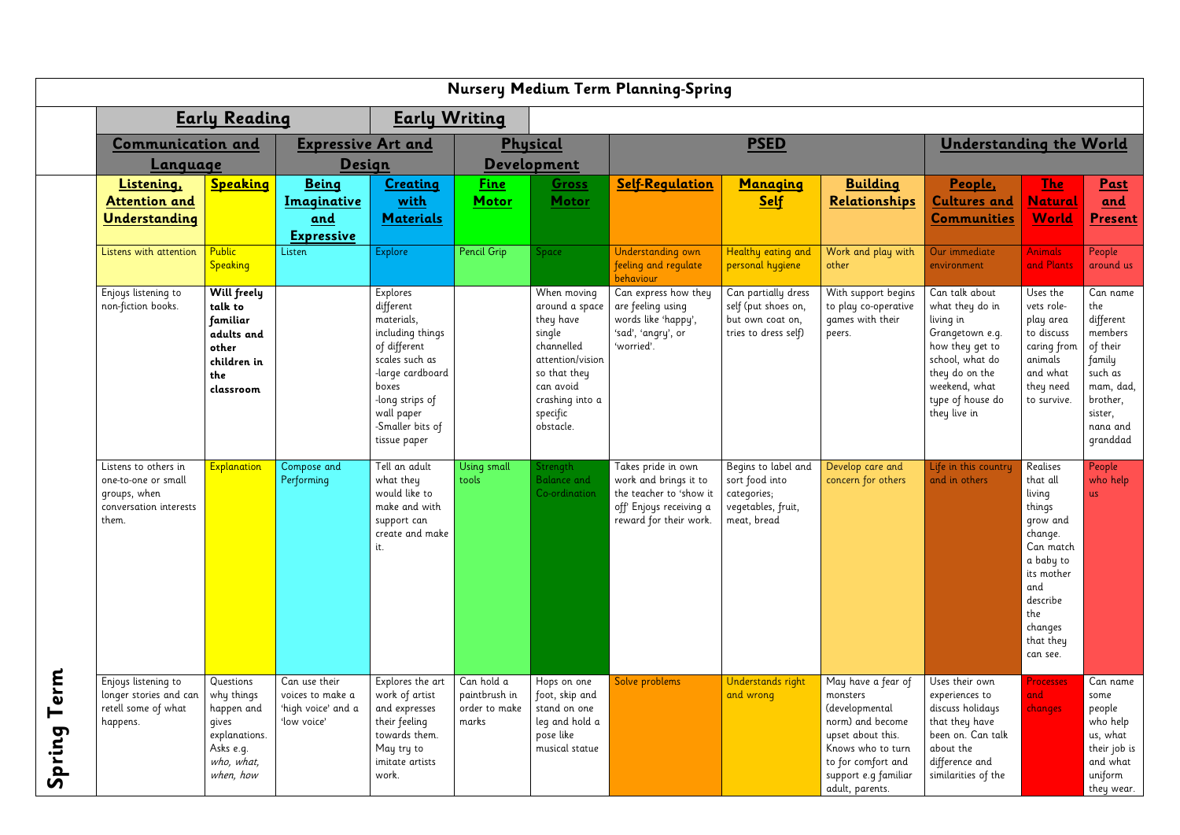|                                                | <b>Nursery Medium Term Planning-Spring</b>                                                     |                                                                                                         |                                                                        |                                                                                                                                                                                             |                                                       |                                                                                                                                                                 |                                                                                                                             |                                                                                           |                                                                                                                                                                                 |                                                                                                                                                                                |                                                                                                                                                                       |                                                                                                                                      |
|------------------------------------------------|------------------------------------------------------------------------------------------------|---------------------------------------------------------------------------------------------------------|------------------------------------------------------------------------|---------------------------------------------------------------------------------------------------------------------------------------------------------------------------------------------|-------------------------------------------------------|-----------------------------------------------------------------------------------------------------------------------------------------------------------------|-----------------------------------------------------------------------------------------------------------------------------|-------------------------------------------------------------------------------------------|---------------------------------------------------------------------------------------------------------------------------------------------------------------------------------|--------------------------------------------------------------------------------------------------------------------------------------------------------------------------------|-----------------------------------------------------------------------------------------------------------------------------------------------------------------------|--------------------------------------------------------------------------------------------------------------------------------------|
|                                                | <b>Early Reading</b>                                                                           |                                                                                                         |                                                                        | <b>Early Writing</b>                                                                                                                                                                        |                                                       |                                                                                                                                                                 |                                                                                                                             |                                                                                           |                                                                                                                                                                                 |                                                                                                                                                                                |                                                                                                                                                                       |                                                                                                                                      |
|                                                | <b>Communication and</b><br><u>Language</u>                                                    |                                                                                                         | <b>Expressive Art and</b><br><b>Design</b>                             |                                                                                                                                                                                             | Physical<br><b>Development</b>                        |                                                                                                                                                                 | <b>PSED</b>                                                                                                                 |                                                                                           |                                                                                                                                                                                 | <b>Understanding the World</b>                                                                                                                                                 |                                                                                                                                                                       |                                                                                                                                      |
|                                                | Listening,<br><b>Attention and</b><br><u>Understanding</u>                                     | Speaking                                                                                                | <b>Being</b><br>Imaginative<br>and<br><b>Expressive</b>                | <b>Creating</b><br><u>with</u><br><b>Materials</b>                                                                                                                                          | <u>Fine</u><br>Motor                                  | <b>Gross</b><br>Motor                                                                                                                                           | <b>Self-Requlation</b>                                                                                                      | <b>Managing</b><br><b>Self</b>                                                            | <b>Building</b><br>Relationships                                                                                                                                                | People,<br><b>Cultures and</b><br><b>Communities</b>                                                                                                                           | <u>The</u><br><u>Natural</u><br><b>World</b>                                                                                                                          | <u>Past</u><br><u>and</u><br><b>Present</b>                                                                                          |
|                                                | Listens with attention                                                                         | Public<br>Speaking                                                                                      | Listen                                                                 | <b>Explore</b>                                                                                                                                                                              | <b>Pencil Grip</b>                                    | Space                                                                                                                                                           | Understanding own<br>feeling and regulate<br>behaviour                                                                      | Healthy eating and<br>personal hygiene                                                    | Work and play with<br>other                                                                                                                                                     | Our immediate<br>environment                                                                                                                                                   | <b>Animals</b><br>and Plants                                                                                                                                          | People<br>around us                                                                                                                  |
|                                                | Enjoys listening to<br>non-fiction books.                                                      | <b>Will freely</b><br>talk to<br>familiar<br>adults and<br>other<br>children in<br>the<br>classroom     |                                                                        | Explores<br>different<br>materials,<br>including things<br>of different<br>scales such as<br>-large cardboard<br>boxes<br>-long strips of<br>wall paper<br>-Smaller bits of<br>tissue paper |                                                       | When moving<br>around a space<br>they have<br>single<br>channelled<br>attention/vision<br>so that they<br>can avoid<br>crashing into a<br>specific<br>obstacle. | Can express how they<br>are feeling using<br>words like 'happy',<br>'sad', 'angry', or<br>'worried'.                        | Can partially dress<br>self (put shoes on,<br>but own coat on,<br>tries to dress self)    | With support begins<br>to play co-operative<br>games with their<br>peers.                                                                                                       | Can talk about<br>what they do in<br>living in<br>Grangetown e.g.<br>how they get to<br>school, what do<br>they do on the<br>weekend, what<br>type of house do<br>they live in | Uses the<br>vets role-<br>play area<br>to discuss<br>caring from<br>animals<br>and what<br>they need<br>to survive.                                                   | Can name<br>the<br>different<br>members<br>of their<br>family<br>such as<br>mam, dad,<br>brother,<br>sister,<br>nana and<br>granddad |
|                                                | Listens to others in<br>one-to-one or small<br>groups, when<br>conversation interests<br>them. | Explanation                                                                                             | Compose and<br>Performing                                              | Tell an adult<br>what they<br>would like to<br>make and with<br>support can<br>create and make<br>it.                                                                                       | Using small<br>tools                                  | Strength<br><b>Balance and</b><br>Co-ordination                                                                                                                 | Takes pride in own<br>work and brings it to<br>the teacher to 'show it<br>off' Enjoys receiving a<br>reward for their work. | Begins to label and<br>sort food into<br>categories;<br>vegetables, fruit,<br>meat, bread | Develop care and<br>concern for others                                                                                                                                          | Life in this country<br>and in others                                                                                                                                          | Realises<br>that all<br>living<br>things<br>grow and<br>change.<br>Can match<br>a baby to<br>its mother<br>and<br>describe<br>the<br>changes<br>that they<br>can see. | People<br>who help<br><b>us</b>                                                                                                      |
| erm<br>⊢<br>pring<br>$\boldsymbol{\mathsf{S}}$ | Enjoys listening to<br>longer stories and can<br>retell some of what<br>happens.               | Questions<br>why things<br>happen and<br>gives<br>explanations.<br>Asks e.g.<br>who, what,<br>when, how | Can use their<br>voices to make a<br>'high voice' and a<br>'low voice' | Explores the art<br>work of artist<br>and expresses<br>their feeling<br>towards them.<br>May try to<br>imitate artists<br>work.                                                             | Can hold a<br>paintbrush in<br>order to make<br>marks | Hops on one<br>foot, skip and<br>stand on one<br>leg and hold a<br>pose like<br>musical statue                                                                  | Solve problems                                                                                                              | Understands right<br>and wrong                                                            | May have a fear of<br>monsters<br>(developmental<br>norm) and become<br>upset about this.<br>Knows who to turn<br>to for comfort and<br>support e.g familiar<br>adult, parents. | Uses their own<br>experiences to<br>discuss holidays<br>that they have<br>been on. Can talk<br>about the<br>difference and<br>similarities of the                              | Processes<br>and<br>changes                                                                                                                                           | Can name<br>some<br>people<br>who help<br>us, what<br>their job is<br>and what<br>uniform<br>they wear.                              |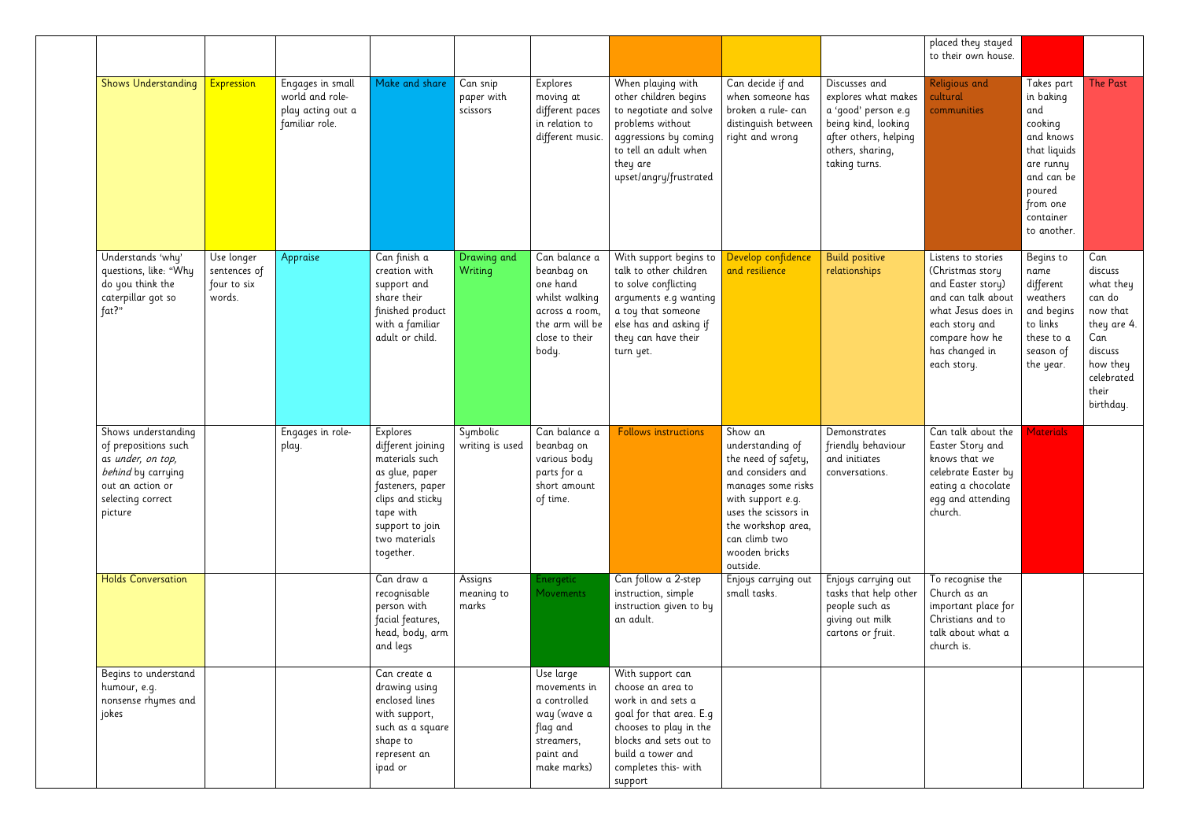|                                                                                                                                            |                                                     |                                                                            |                                                                                                                                                                         |                                    |                                                                                                                           |                                                                                                                                                                                                    |                                                                                                                                                                                                                |                                                                                                                                                  | placed they stayed<br>to their own house.                                                                                                                                    |                                                                                                                                                     |                                                                                                                                    |
|--------------------------------------------------------------------------------------------------------------------------------------------|-----------------------------------------------------|----------------------------------------------------------------------------|-------------------------------------------------------------------------------------------------------------------------------------------------------------------------|------------------------------------|---------------------------------------------------------------------------------------------------------------------------|----------------------------------------------------------------------------------------------------------------------------------------------------------------------------------------------------|----------------------------------------------------------------------------------------------------------------------------------------------------------------------------------------------------------------|--------------------------------------------------------------------------------------------------------------------------------------------------|------------------------------------------------------------------------------------------------------------------------------------------------------------------------------|-----------------------------------------------------------------------------------------------------------------------------------------------------|------------------------------------------------------------------------------------------------------------------------------------|
| <b>Shows Understanding</b>                                                                                                                 | <b>Expression</b>                                   | Engages in small<br>world and role-<br>play acting out a<br>familiar role. | Make and share                                                                                                                                                          | Can snip<br>paper with<br>scissors | Explores<br>moving at<br>different paces<br>in relation to<br>different music.                                            | When playing with<br>other children begins<br>to negotiate and solve<br>problems without<br>aggressions by coming<br>to tell an adult when<br>they are<br>upset/angry/frustrated                   | Can decide if and<br>when someone has<br>broken a rule- can<br>distinguish between<br>right and wrong                                                                                                          | Discusses and<br>explores what makes<br>a 'good' person e.g<br>being kind, looking<br>after others, helping<br>others, sharing,<br>taking turns. | Religious and<br>cultural<br>communities                                                                                                                                     | Takes part<br>in baking<br>and<br>cooking<br>and knows<br>that liquids<br>are runny<br>and can be<br>poured<br>from one<br>container<br>to another. | <b>The Past</b>                                                                                                                    |
| Understands 'why'<br>questions, like: "Why<br>do you think the<br>caterpillar got so<br>fat?"                                              | Use longer<br>sentences of<br>four to six<br>words. | Appraise                                                                   | Can finish a<br>creation with<br>support and<br>share their<br>finished product<br>with a familiar<br>adult or child.                                                   | Drawing and<br>Writing             | Can balance a<br>beanbag on<br>one hand<br>whilst walking<br>across a room,<br>the arm will be<br>close to their<br>body. | With support begins to<br>talk to other children<br>to solve conflicting<br>arguments e.g wanting<br>a toy that someone<br>else has and asking if<br>they can have their<br>turn yet.              | Develop confidence<br>and resilience                                                                                                                                                                           | <b>Build positive</b><br>relationships                                                                                                           | Listens to stories<br>(Christmas story<br>and Easter story)<br>and can talk about<br>what Jesus does in<br>each story and<br>compare how he<br>has changed in<br>each story. | Begins to<br>name<br>different<br>weathers<br>and begins<br>to links<br>these to a<br>season of<br>the year.                                        | Can<br>discuss<br>what they<br>can do<br>now that<br>they are 4.<br>Can<br>discuss<br>how they<br>celebrated<br>their<br>birthday. |
| Shows understanding<br>of prepositions such<br>as under, on top,<br>behind by carrying<br>out an action or<br>selecting correct<br>picture |                                                     | Engages in role-<br>play.                                                  | Explores<br>different joining<br>materials such<br>as glue, paper<br>fasteners, paper<br>clips and sticky<br>tape with<br>support to join<br>two materials<br>together. | Symbolic<br>writing is used        | Can balance a<br>beanbag on<br>various body<br>parts for a<br>short amount<br>of time.                                    | <b>Follows instructions</b>                                                                                                                                                                        | Show an<br>understanding of<br>the need of safety,<br>and considers and<br>manages some risks<br>with support e.g.<br>uses the scissors in<br>the workshop area,<br>can climb two<br>wooden bricks<br>outside. | Demonstrates<br>friendly behaviour<br>and initiates<br>conversations.                                                                            | Can talk about the<br>Easter Story and<br>knows that we<br>celebrate Easter by<br>eating a chocolate<br>egg and attending<br>church.                                         | <b>Materials</b>                                                                                                                                    |                                                                                                                                    |
| <b>Holds Conversation</b>                                                                                                                  |                                                     |                                                                            | Can draw a<br>recognisable<br>person with<br>facial features,<br>head, body, arm<br>and legs                                                                            | Assigns<br>meaning to<br>marks     | Energetic<br><b>Movements</b>                                                                                             | Can follow a 2-step<br>instruction, simple<br>instruction given to by<br>an adult.                                                                                                                 | Enjoys carrying out<br>small tasks.                                                                                                                                                                            | Enjoys carrying out<br>tasks that help other<br>people such as<br>giving out milk<br>cartons or fruit.                                           | To recognise the<br>Church as an<br>important place for<br>Christians and to<br>talk about what a<br>church is.                                                              |                                                                                                                                                     |                                                                                                                                    |
| Begins to understand<br>humour, e.g.<br>nonsense rhymes and<br>jokes                                                                       |                                                     |                                                                            | Can create a<br>drawing using<br>enclosed lines<br>with support,<br>such as a square<br>shape to<br>represent an<br>ipad or                                             |                                    | Use large<br>movements in<br>a controlled<br>way (wave a<br>flag and<br>streamers,<br>paint and<br>make marks)            | With support can<br>choose an area to<br>work in and sets a<br>goal for that area. E.g<br>chooses to play in the<br>blocks and sets out to<br>build a tower and<br>completes this- with<br>support |                                                                                                                                                                                                                |                                                                                                                                                  |                                                                                                                                                                              |                                                                                                                                                     |                                                                                                                                    |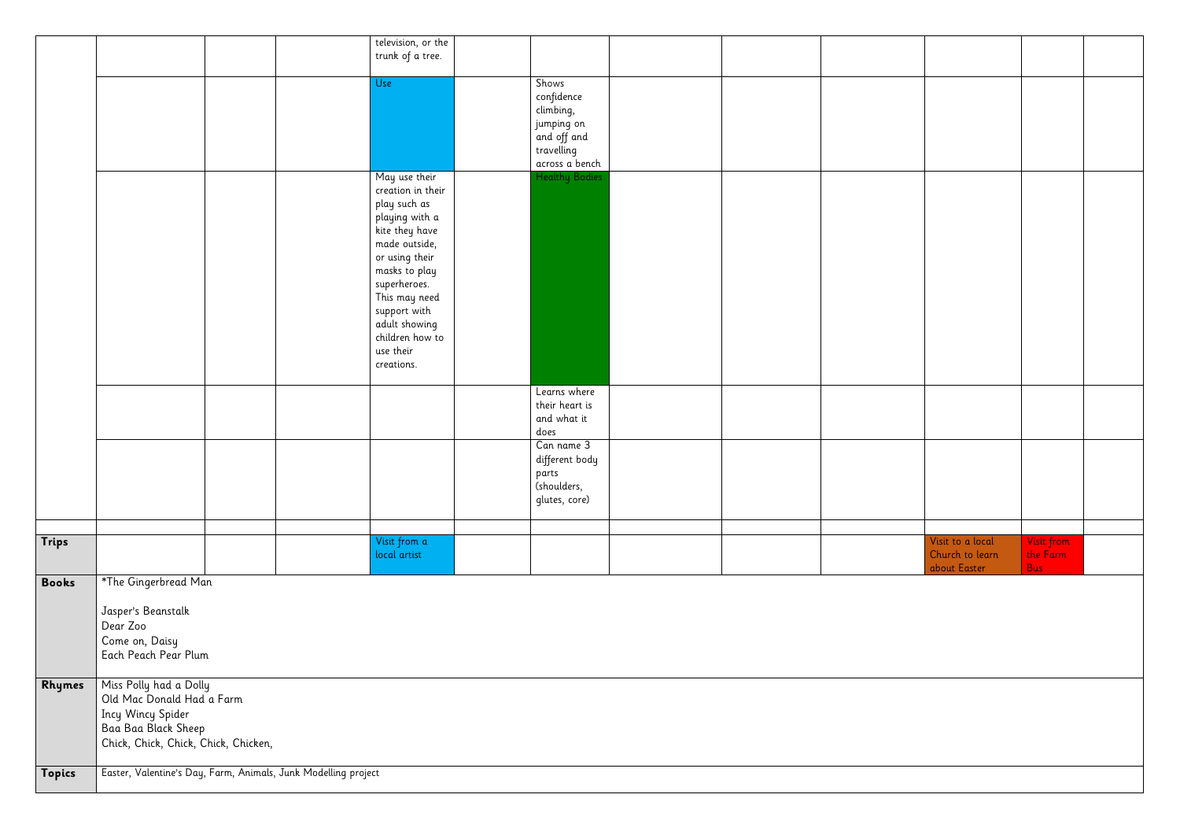|              |                                                | television, or the<br>trunk of a tree.                         |                                |  |                                 |                        |  |
|--------------|------------------------------------------------|----------------------------------------------------------------|--------------------------------|--|---------------------------------|------------------------|--|
|              |                                                | Use                                                            | Shows<br>confidence            |  |                                 |                        |  |
|              |                                                |                                                                | climbing,                      |  |                                 |                        |  |
|              |                                                |                                                                | jumping on<br>and off and      |  |                                 |                        |  |
|              |                                                |                                                                | travelling<br>across a bench   |  |                                 |                        |  |
|              |                                                | May use their                                                  | <b>Healthy Bodies</b>          |  |                                 |                        |  |
|              |                                                | creation in their<br>play such as                              |                                |  |                                 |                        |  |
|              |                                                | playing with a<br>kite they have                               |                                |  |                                 |                        |  |
|              |                                                | made outside,                                                  |                                |  |                                 |                        |  |
|              |                                                | or using their<br>masks to play                                |                                |  |                                 |                        |  |
|              |                                                | superheroes.                                                   |                                |  |                                 |                        |  |
|              |                                                | This may need<br>support with                                  |                                |  |                                 |                        |  |
|              |                                                | adult showing<br>children how to                               |                                |  |                                 |                        |  |
|              |                                                | use their                                                      |                                |  |                                 |                        |  |
|              |                                                | creations.                                                     |                                |  |                                 |                        |  |
|              |                                                |                                                                | Learns where<br>their heart is |  |                                 |                        |  |
|              |                                                |                                                                | and what it<br>does            |  |                                 |                        |  |
|              |                                                |                                                                | Can name 3                     |  |                                 |                        |  |
|              |                                                |                                                                | different body<br>parts        |  |                                 |                        |  |
|              |                                                |                                                                | (shoulders,                    |  |                                 |                        |  |
|              |                                                |                                                                | glutes, core)                  |  |                                 |                        |  |
| Trips        |                                                | Visit from a                                                   |                                |  | Visit to a local                | Visit from             |  |
|              |                                                | local artist                                                   |                                |  | Church to learn<br>about Easter | the Farm<br><b>Bus</b> |  |
| <b>Books</b> | *The Gingerbread Man                           |                                                                |                                |  |                                 |                        |  |
|              | Jasper's Beanstalk                             |                                                                |                                |  |                                 |                        |  |
|              | Dear Zoo<br>Come on, Daisy                     |                                                                |                                |  |                                 |                        |  |
|              | Each Peach Pear Plum                           |                                                                |                                |  |                                 |                        |  |
| Rhymes       | Miss Polly had a Dolly                         |                                                                |                                |  |                                 |                        |  |
|              | Old Mac Donald Had a Farm<br>Incy Wincy Spider |                                                                |                                |  |                                 |                        |  |
|              | Baa Baa Black Sheep                            |                                                                |                                |  |                                 |                        |  |
|              | Chick, Chick, Chick, Chick, Chicken,           |                                                                |                                |  |                                 |                        |  |
| Topics       |                                                | Easter, Valentine's Day, Farm, Animals, Junk Modelling project |                                |  |                                 |                        |  |